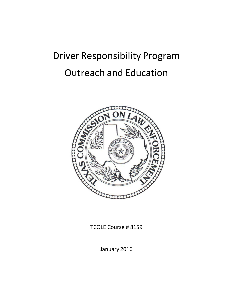# Driver Responsibility Program Outreach and Education



TCOLE Course # 8159

January 2016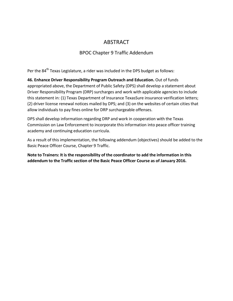## ABSTRACT

### BPOC Chapter 9 Traffic Addendum

Per the 84<sup>th</sup> Texas Legislature, a rider was included in the DPS budget as follows:

**46. Enhance Driver Responsibility Program Outreach and Education.** Out of funds appropriated above, the Department of Public Safety (DPS) shall develop a statement about Driver Responsibility Program (DRP) surcharges and work with applicable agencies to include this statement in: (1) Texas Department of Insurance TexasSure insurance verification letters; (2) driver license renewal notices mailed by DPS; and (3) on the websites of certain cities that allow individuals to pay fines online for DRP surchargeable offenses.

DPS shall develop information regarding DRP and work in cooperation with the Texas Commission on Law Enforcement to incorporate this information into peace officer training academy and continuing education curricula.

As a result of this implementation, the following addendum (objectives) should be added to the Basic Peace Officer Course, Chapter 9 Traffic.

**Note to Trainers: It is the responsibility of the coordinator to add the information in this addendum to the Traffic section of the Basic Peace Officer Course as of January 2016.**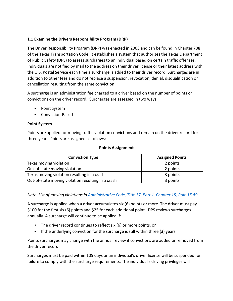#### **1.1 Examine the Drivers Responsibility Program (DRP)**

The Driver Responsibility Program (DRP) was enacted in 2003 and can be found in Chapter 708 of the Texas Transportation Code. It establishes a system that authorizes the Texas Department of Public Safety (DPS) to assess surcharges to an individual based on certain traffic offenses. Individuals are notified by mail to the address on their driver license or their latest address with the U.S. Postal Service each time a surcharge is added to their driver record. Surcharges are in addition to other fees and do not replace a suspension, revocation, denial, disqualification or cancellation resulting from the same conviction.

A surcharge is an administration fee charged to a driver based on the number of points or convictions on the driver record. Surcharges are assessed in two ways:

- Point System
- Conviction-Based

#### **Point System**

Points are applied for moving traffic violation convictions and remain on the driver record for three years. Points are assigned as follows:

#### **Points Assignment**

| <b>Conviction Type</b>                             | <b>Assigned Points</b> |
|----------------------------------------------------|------------------------|
| Texas moving violation                             | 2 points               |
| Out-of-state moving violation                      | 2 points               |
| Texas moving violation resulting in a crash        | 3 points               |
| Out-of-state moving violation resulting in a crash | 3 points               |

*Note: List of moving violations in [Administrative](http://texreg.sos.state.tx.us/public/readtac%24ext.TacPage?sl=R&app=9&p_dir&p_rloc&p_tloc&p_ploc&pg=1&p_tac&ti=37&pt=1&ch=15&rl=89) Code, Title 37, Part 1, Chapter 15, Rule 15.89.*

A surcharge is applied when a driver accumulates six (6) points or more. The driver must pay \$100 for the first six (6) points and \$25 for each additional point. DPS reviews surcharges annually. A surcharge will continue to be applied if:

- The driver record continues to reflect six (6) or more points, or
- If the underlying conviction for the surcharge is still within three (3) years.

Points surcharges may change with the annual review if convictions are added or removed from the driver record.

Surcharges must be paid within 105 days or an individual's driver license will be suspended for failure to comply with the surcharge requirements. The individual's driving privileges will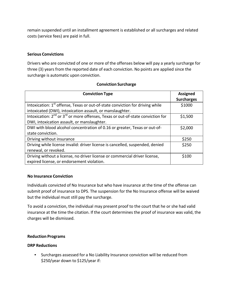remain suspended until an installment agreement is established or all surcharges and related costs (service fees) are paid in full.

#### **Serious Convictions**

Drivers who are convicted of one or more of the offenses below will pay a yearly surcharge for three (3) years from the reported date of each conviction. No points are applied since the surcharge is automatic upon conviction.

| <b>Conviction Surcharge</b> |  |
|-----------------------------|--|
|-----------------------------|--|

| <b>Conviction Type</b>                                                                    | <b>Assigned</b><br><b>Surcharges</b> |
|-------------------------------------------------------------------------------------------|--------------------------------------|
| Intoxication: 1 <sup>st</sup> offense, Texas or out-of-state conviction for driving while | \$1000                               |
| intoxicated (DWI), intoxication assault, or manslaughter.                                 |                                      |
| Intoxication: $2^{nd}$ or $3^{rd}$ or more offenses, Texas or out-of-state conviction for | \$1,500                              |
| DWI, intoxication assault, or manslaughter.                                               |                                      |
| DWI with blood alcohol concentration of 0.16 or greater, Texas or out-of-                 | \$2,000                              |
| state conviction.                                                                         |                                      |
| Driving without insurance                                                                 | \$250                                |
| Driving while license invalid: driver license is cancelled, suspended, denied             | \$250                                |
| renewal, or revoked.                                                                      |                                      |
| Driving without a license, no driver license or commercial driver license,                | \$100                                |
| expired license, or endorsement violation.                                                |                                      |

#### **No Insurance Conviction**

Individuals convicted of No Insurance but who have insurance at the time of the offense can submit proof of insurance to DPS. The suspension for the No Insurance offense will be waived but the individual must still pay the surcharge.

To avoid a conviction, the individual may present proof to the court that he or she had valid insurance at the time the citation. If the court determines the proof of insurance was valid, the charges will be dismissed.

#### **Reduction Programs**

#### **DRP Reductions**

• Surcharges assessed for a No Liability Insurance conviction will be reduced from \$250/year down to \$125/year if: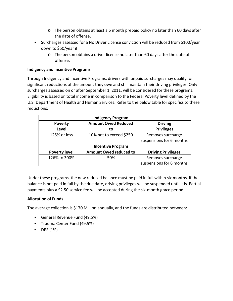- $\circ$  The person obtains at least a 6 month prepaid policy no later than 60 days after the date of offense.
- Surcharges assessed for a No Driver License conviction will be reduced from \$100/year down to \$50/year if:
	- o The person obtains a driver license no later than 60 days after the date of offense.

#### **Indigency and Incentive Programs**

Through Indigency and Incentive Programs, drivers with unpaid surcharges may qualify for significant reductions of the amount they owe and still maintain their driving privileges. Only surcharges assessed on or after September 1, 2011, will be considered for these programs. Eligibility is based on total income in comparison to the Federal Poverty level defined by the U.S. Department of Health and Human Services. Refer to the below table for specifics to these reductions:

|                      | <b>Indigency Program</b>      |                           |
|----------------------|-------------------------------|---------------------------|
| <b>Poverty</b>       | <b>Amount Owed Reduced</b>    | <b>Driving</b>            |
| <b>Level</b>         | to                            | <b>Privileges</b>         |
| 125% or less         | 10% not to exceed \$250       | Removes surcharge         |
|                      |                               | suspensions for 6 months  |
|                      | <b>Incentive Program</b>      |                           |
| <b>Poverty level</b> | <b>Amount Owed reduced to</b> | <b>Driving Privileges</b> |
| 126% to 300%         | 50%                           | Removes surcharge         |
|                      |                               | suspensions for 6 months  |

Under these programs, the new reduced balance must be paid in full within six months. If the balance is not paid in full by the due date, driving privileges will be suspended until it is. Partial payments plus a \$2.50 service fee will be accepted during the six-month grace period.

#### **Allocation of Funds**

The average collection is \$170 Million annually, and the funds are distributed between:

- General Revenue Fund (49.5%)
- Trauma Center Fund (49.5%)
- DPS (1%)